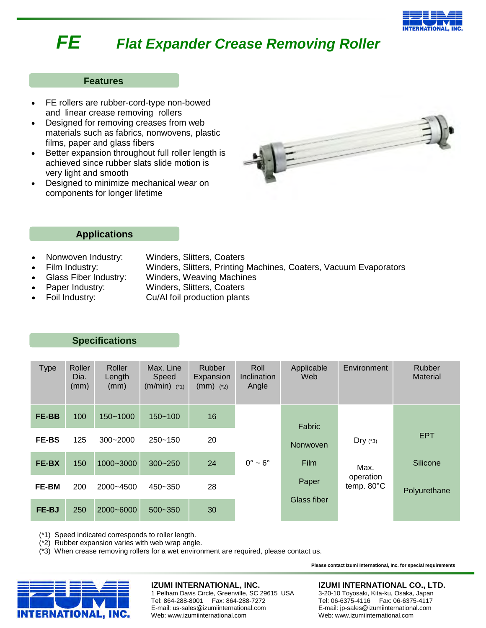

# *FE Flat Expander Crease Removing Roller*

## **Features**

- FE rollers are rubber-cord-type non-bowed and linear crease removing rollers
- Designed for removing creases from web materials such as fabrics, nonwovens, plastic films, paper and glass fibers
- Better expansion throughout full roller length is achieved since rubber slats slide motion is very light and smooth
- Designed to minimize mechanical wear on components for longer lifetime



## **Applications**

- Nonwoven Industry: Winders, Slitters, Coaters
- Film Industry: Winders, Slitters, Printing Machines, Coaters, Vacuum Evaporators
	- Glass Fiber Industry: Winders, Weaving Machines
- 
- Paper Industry: Winders, Slitters, Coaters
- Foil Industry: Cu/Al foil production plants

## **Specifications**

| <b>Type</b>  | Roller<br>Dia.<br>(mm) | Roller<br>Length<br>(mm) | Max. Line<br>Speed<br>$(m/min)$ (*1) | <b>Rubber</b><br>Expansion<br>$(mm)$ (*2) | Roll<br>Inclination<br>Angle | Applicable<br>Web | Environment             | Rubber<br><b>Material</b> |
|--------------|------------------------|--------------------------|--------------------------------------|-------------------------------------------|------------------------------|-------------------|-------------------------|---------------------------|
| FE-BB        | 100                    | $150 - 1000$             | $150 - 100$                          | 16                                        |                              | Fabric            |                         |                           |
| <b>FE-BS</b> | 125                    | $300 - 2000$             | $250 - 150$                          | 20                                        |                              | Nonwoven          | $Dry$ (*3)              | <b>EPT</b>                |
| FE-BX        | 150                    | 1000~3000                | $300 - 250$                          | 24                                        | $0^\circ \sim 6^\circ$       | <b>Film</b>       | Max.                    | Silicone                  |
| <b>FE-BM</b> | 200                    | 2000~4500                | 450~350                              | 28                                        |                              | Paper             | operation<br>temp. 80°C | Polyurethane              |
| FE-BJ        | 250                    | 2000~6000                | $500 - 350$                          | 30                                        |                              | Glass fiber       |                         |                           |

(\*1) Speed indicated corresponds to roller length.

(\*2) Rubber expansion varies with web wrap angle.

(\*3) When crease removing rollers for a wet environment are required, please contact us.



#### **IZUMI INTERNATIONAL, INC.**

1 Pelham Davis Circle, Greenville, SC 29615 USA Tel: 864-288-8001 Fax: 864-288-7272 E-mail: us-sales@izumiinternational.com Web: www.izumiinternational.com

#### **IZUMI INTERNATIONAL CO., LTD.**

**Please contact Izumi International, Inc. for special requirements**

3-20-10 Toyosaki, Kita-ku, Osaka, Japan Tel: 06-6375-4116 Fax: 06-6375-4117 E-mail: jp-sales@izumiinternational.com Web: www.izumiinternational.com